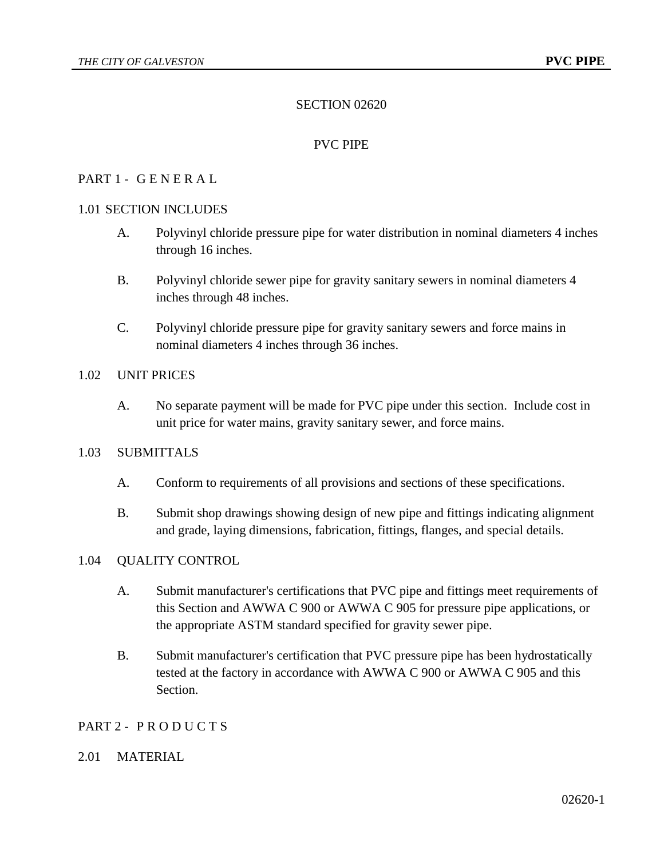# SECTION 02620

## PVC PIPE

## PART 1 - G E N E R A L

### 1.01 SECTION INCLUDES

- A. Polyvinyl chloride pressure pipe for water distribution in nominal diameters 4 inches through 16 inches.
- B. Polyvinyl chloride sewer pipe for gravity sanitary sewers in nominal diameters 4 inches through 48 inches.
- C. Polyvinyl chloride pressure pipe for gravity sanitary sewers and force mains in nominal diameters 4 inches through 36 inches.

### 1.02 UNIT PRICES

A. No separate payment will be made for PVC pipe under this section. Include cost in unit price for water mains, gravity sanitary sewer, and force mains.

#### 1.03 SUBMITTALS

- A. Conform to requirements of all provisions and sections of these specifications.
- B. Submit shop drawings showing design of new pipe and fittings indicating alignment and grade, laying dimensions, fabrication, fittings, flanges, and special details.

### 1.04 QUALITY CONTROL

- A. Submit manufacturer's certifications that PVC pipe and fittings meet requirements of this Section and AWWA C 900 or AWWA C 905 for pressure pipe applications, or the appropriate ASTM standard specified for gravity sewer pipe.
- B. Submit manufacturer's certification that PVC pressure pipe has been hydrostatically tested at the factory in accordance with AWWA C 900 or AWWA C 905 and this Section.

#### PART 2 - PRODUCTS

#### 2.01 MATERIAL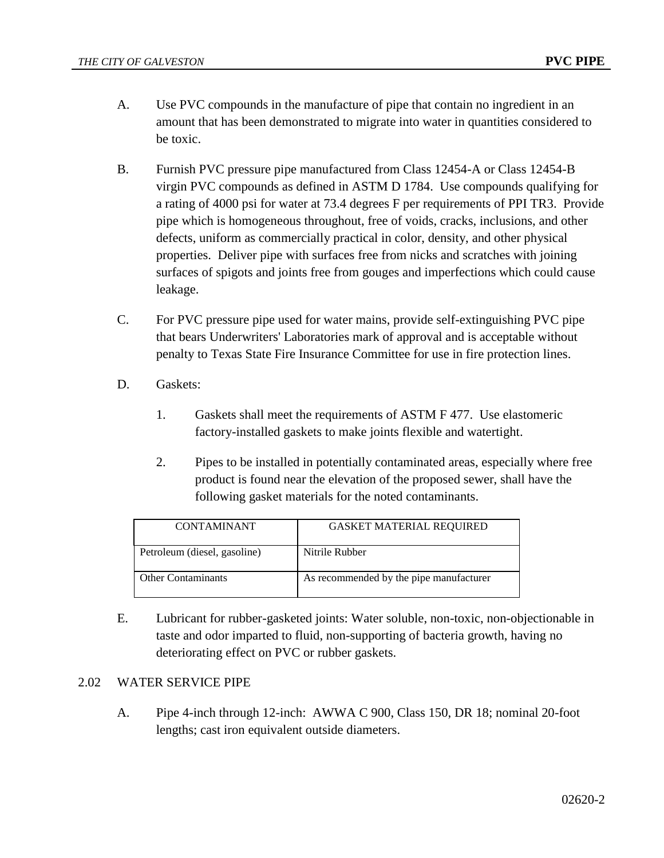- A. Use PVC compounds in the manufacture of pipe that contain no ingredient in an amount that has been demonstrated to migrate into water in quantities considered to be toxic.
- B. Furnish PVC pressure pipe manufactured from Class 12454-A or Class 12454-B virgin PVC compounds as defined in ASTM D 1784. Use compounds qualifying for a rating of 4000 psi for water at 73.4 degrees F per requirements of PPI TR3. Provide pipe which is homogeneous throughout, free of voids, cracks, inclusions, and other defects, uniform as commercially practical in color, density, and other physical properties. Deliver pipe with surfaces free from nicks and scratches with joining surfaces of spigots and joints free from gouges and imperfections which could cause leakage.
- C. For PVC pressure pipe used for water mains, provide self-extinguishing PVC pipe that bears Underwriters' Laboratories mark of approval and is acceptable without penalty to Texas State Fire Insurance Committee for use in fire protection lines.
- D. Gaskets:
	- 1. Gaskets shall meet the requirements of ASTM F 477. Use elastomeric factory-installed gaskets to make joints flexible and watertight.
	- 2. Pipes to be installed in potentially contaminated areas, especially where free product is found near the elevation of the proposed sewer, shall have the following gasket materials for the noted contaminants.

| <b>CONTAMINANT</b>           | <b>GASKET MATERIAL REOUIRED</b>         |
|------------------------------|-----------------------------------------|
| Petroleum (diesel, gasoline) | Nitrile Rubber                          |
| <b>Other Contaminants</b>    | As recommended by the pipe manufacturer |

E. Lubricant for rubber-gasketed joints: Water soluble, non-toxic, non-objectionable in taste and odor imparted to fluid, non-supporting of bacteria growth, having no deteriorating effect on PVC or rubber gaskets.

## 2.02 WATER SERVICE PIPE

A. Pipe 4-inch through 12-inch: AWWA C 900, Class 150, DR 18; nominal 20-foot lengths; cast iron equivalent outside diameters.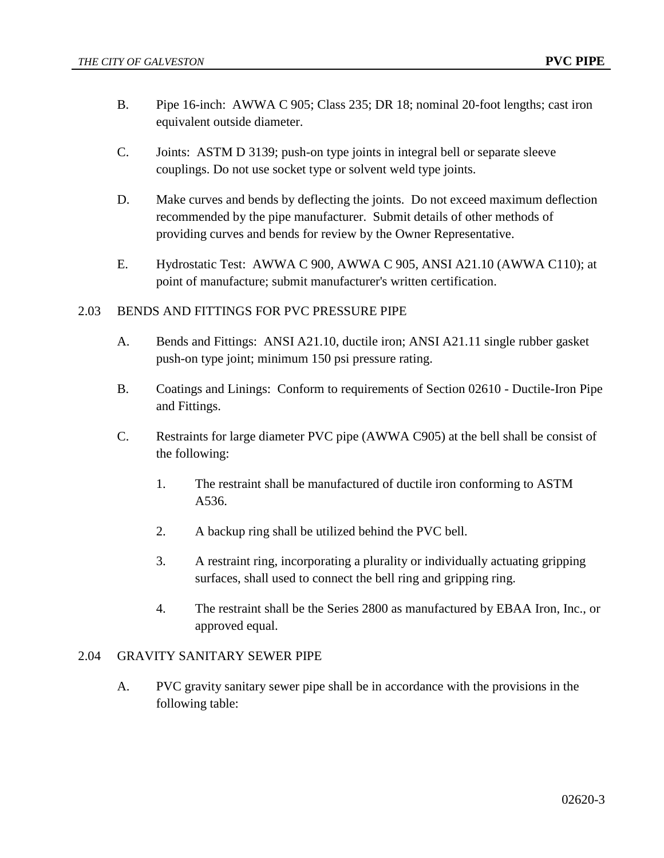- B. Pipe 16-inch: AWWA C 905; Class 235; DR 18; nominal 20-foot lengths; cast iron equivalent outside diameter.
- C. Joints: ASTM D 3139; push-on type joints in integral bell or separate sleeve couplings. Do not use socket type or solvent weld type joints.
- D. Make curves and bends by deflecting the joints. Do not exceed maximum deflection recommended by the pipe manufacturer. Submit details of other methods of providing curves and bends for review by the Owner Representative.
- E. Hydrostatic Test: AWWA C 900, AWWA C 905, ANSI A21.10 (AWWA C110); at point of manufacture; submit manufacturer's written certification.

### 2.03 BENDS AND FITTINGS FOR PVC PRESSURE PIPE

- A. Bends and Fittings: ANSI A21.10, ductile iron; ANSI A21.11 single rubber gasket push-on type joint; minimum 150 psi pressure rating.
- B. Coatings and Linings: Conform to requirements of Section 02610 Ductile-Iron Pipe and Fittings.
- C. Restraints for large diameter PVC pipe (AWWA C905) at the bell shall be consist of the following:
	- 1. The restraint shall be manufactured of ductile iron conforming to ASTM A536.
	- 2. A backup ring shall be utilized behind the PVC bell.
	- 3. A restraint ring, incorporating a plurality or individually actuating gripping surfaces, shall used to connect the bell ring and gripping ring.
	- 4. The restraint shall be the Series 2800 as manufactured by EBAA Iron, Inc., or approved equal.

## 2.04 GRAVITY SANITARY SEWER PIPE

A. PVC gravity sanitary sewer pipe shall be in accordance with the provisions in the following table: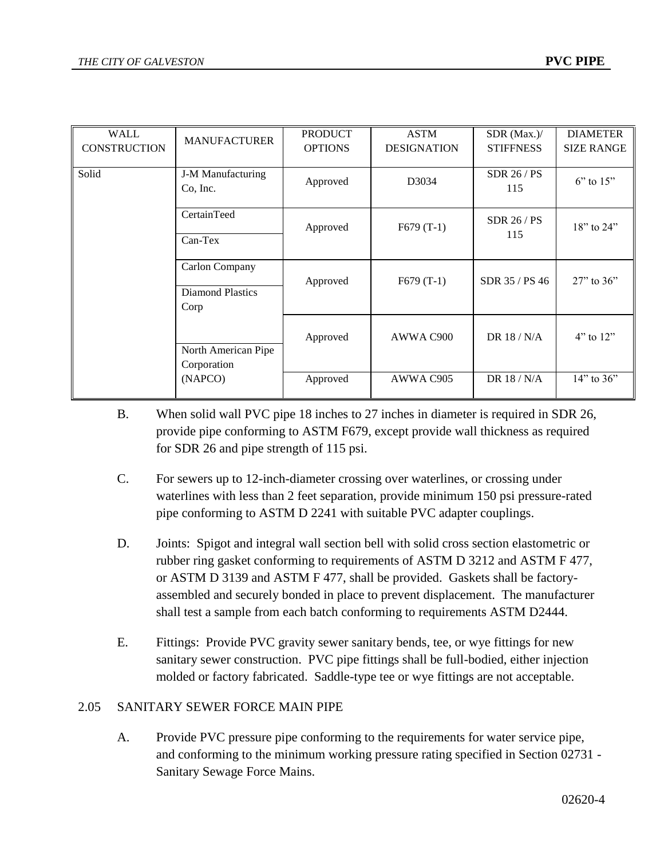| WALL                | <b>MANUFACTURER</b> | <b>PRODUCT</b> | <b>ASTM</b>        | SDR (Max.)/      | <b>DIAMETER</b>   |
|---------------------|---------------------|----------------|--------------------|------------------|-------------------|
| <b>CONSTRUCTION</b> |                     | <b>OPTIONS</b> | <b>DESIGNATION</b> | <b>STIFFNESS</b> | <b>SIZE RANGE</b> |
|                     |                     |                |                    |                  |                   |
|                     |                     |                |                    |                  |                   |
| Solid               | J-M Manufacturing   | Approved       | D3034              | SDR 26 / PS      | $6"$ to $15"$     |
|                     | Co, Inc.            |                |                    | 115              |                   |
|                     |                     |                |                    |                  |                   |
|                     | CertainTeed         |                |                    |                  |                   |
|                     |                     | Approved       | $F679(T-1)$        | SDR $26/PS$      | $18"$ to $24"$    |
|                     | $Can-Text$          |                |                    | 115              |                   |
|                     |                     |                |                    |                  |                   |
|                     |                     |                |                    |                  |                   |
|                     | Carlon Company      |                |                    |                  |                   |
|                     |                     | Approved       | $F679(T-1)$        | SDR 35 / PS 46   | $27$ " to $36$ "  |
|                     | Diamond Plastics    |                |                    |                  |                   |
|                     | Corp                |                |                    |                  |                   |
|                     |                     |                |                    |                  |                   |
|                     |                     |                |                    |                  |                   |
|                     |                     | Approved       | AWWA C900          | DR $18/N/A$      | $4"$ to $12"$     |
|                     | North American Pipe |                |                    |                  |                   |
|                     |                     |                |                    |                  |                   |
|                     | Corporation         |                |                    |                  |                   |
|                     | (NAPCO)             | Approved       | AWWA C905          | DR 18 / N/A      | $14"$ to 36"      |
|                     |                     |                |                    |                  |                   |

- B. When solid wall PVC pipe 18 inches to 27 inches in diameter is required in SDR 26, provide pipe conforming to ASTM F679, except provide wall thickness as required for SDR 26 and pipe strength of 115 psi.
- C. For sewers up to 12-inch-diameter crossing over waterlines, or crossing under waterlines with less than 2 feet separation, provide minimum 150 psi pressure-rated pipe conforming to ASTM D 2241 with suitable PVC adapter couplings.
- D. Joints: Spigot and integral wall section bell with solid cross section elastometric or rubber ring gasket conforming to requirements of ASTM D 3212 and ASTM F 477, or ASTM D 3139 and ASTM F 477, shall be provided. Gaskets shall be factoryassembled and securely bonded in place to prevent displacement. The manufacturer shall test a sample from each batch conforming to requirements ASTM D2444.
- E. Fittings: Provide PVC gravity sewer sanitary bends, tee, or wye fittings for new sanitary sewer construction. PVC pipe fittings shall be full-bodied, either injection molded or factory fabricated. Saddle-type tee or wye fittings are not acceptable.

## 2.05 SANITARY SEWER FORCE MAIN PIPE

A. Provide PVC pressure pipe conforming to the requirements for water service pipe, and conforming to the minimum working pressure rating specified in Section 02731 - Sanitary Sewage Force Mains.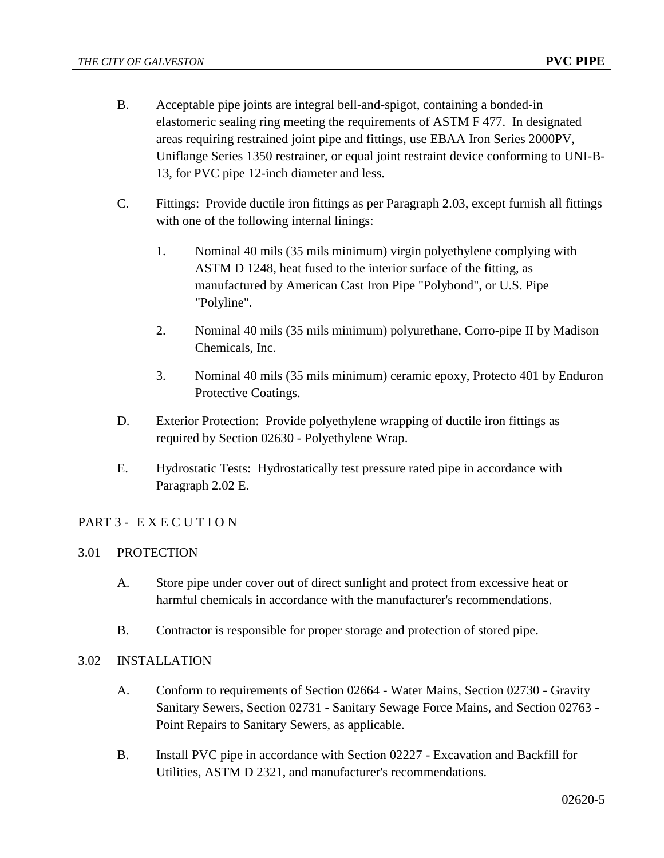- B. Acceptable pipe joints are integral bell-and-spigot, containing a bonded-in elastomeric sealing ring meeting the requirements of ASTM F 477. In designated areas requiring restrained joint pipe and fittings, use EBAA Iron Series 2000PV, Uniflange Series 1350 restrainer, or equal joint restraint device conforming to UNI-B-13, for PVC pipe 12-inch diameter and less.
- C. Fittings: Provide ductile iron fittings as per Paragraph 2.03, except furnish all fittings with one of the following internal linings:
	- 1. Nominal 40 mils (35 mils minimum) virgin polyethylene complying with ASTM D 1248, heat fused to the interior surface of the fitting, as manufactured by American Cast Iron Pipe "Polybond", or U.S. Pipe "Polyline".
	- 2. Nominal 40 mils (35 mils minimum) polyurethane, Corro-pipe II by Madison Chemicals, Inc.
	- 3. Nominal 40 mils (35 mils minimum) ceramic epoxy, Protecto 401 by Enduron Protective Coatings.
- D. Exterior Protection: Provide polyethylene wrapping of ductile iron fittings as required by Section 02630 - Polyethylene Wrap.
- E. Hydrostatic Tests: Hydrostatically test pressure rated pipe in accordance with Paragraph 2.02 E.

## PART 3 - EXECUTION

## 3.01 PROTECTION

- A. Store pipe under cover out of direct sunlight and protect from excessive heat or harmful chemicals in accordance with the manufacturer's recommendations.
- B. Contractor is responsible for proper storage and protection of stored pipe.
- 3.02 INSTALLATION
	- A. Conform to requirements of Section 02664 Water Mains, Section 02730 Gravity Sanitary Sewers, Section 02731 - Sanitary Sewage Force Mains, and Section 02763 - Point Repairs to Sanitary Sewers, as applicable.
	- B. Install PVC pipe in accordance with Section 02227 Excavation and Backfill for Utilities, ASTM D 2321, and manufacturer's recommendations.